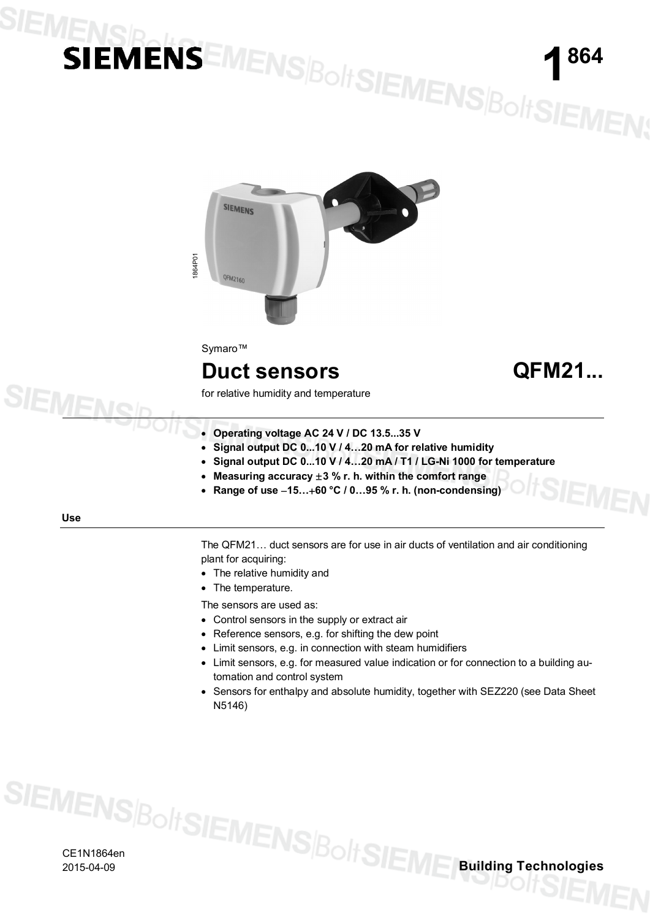# SIEMENSR

**1 864**



Symaro™

#### **Duct sensors QFM21...**

for relative humidity and temperature

- · **Operating voltage AC 24 V / DC 13.5...35 V**
- · **Signal output DC 0...10 V / 4…20 mA for relative humidity**
- · **Signal output DC 0...10 V / 4…20 mA / T1 / LG-Ni 1000 for temperature**
- · **Measuring accuracy** ±**3 % r. h. within the comfort range**
- · **Range of use** -**15…**+**60 °C / 0…95 % r. h. (non-condensing)**

#### **Use**

**SIEMENS** 

The QFM21… duct sensors are for use in air ducts of ventilation and air conditioning plant for acquiring:

- · The relative humidity and
- · The temperature.

The sensors are used as:

- · Control sensors in the supply or extract air
- · Reference sensors, e.g. for shifting the dew point
- · Limit sensors, e.g. in connection with steam humidifiers
- · Limit sensors, e.g. for measured value indication or for connection to a building automation and control system
- · Sensors for enthalpy and absolute humidity, together with SEZ220 (see Data Sheet N5146)

CE1N1864en

2015-04-09 **Building Technologies**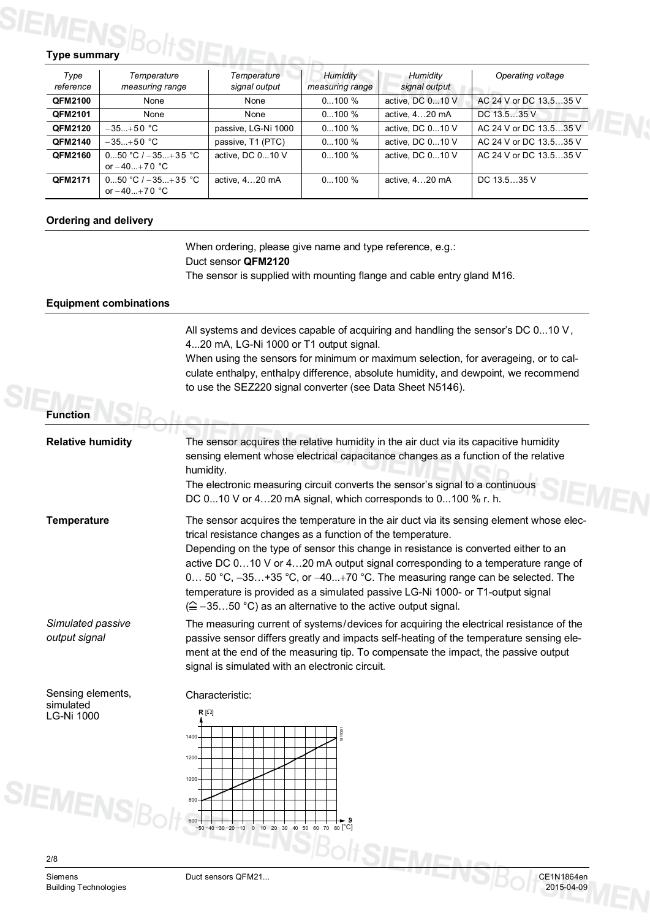## **Type summary**

| Type<br>reference | Temperature<br>measuring range       | Temperature<br>signal output | Humidity<br>measuring range | Humidity<br>signal output | Operating voltage      |
|-------------------|--------------------------------------|------------------------------|-----------------------------|---------------------------|------------------------|
| <b>QFM2100</b>    | None                                 | None                         | $0100\%$                    | active, DC 010 V          | AC 24 V or DC 13.535 V |
| <b>QFM2101</b>    | None                                 | None                         | $0100\%$                    | active, 420 mA            | DC 13.535 V            |
| <b>QFM2120</b>    | $-35+50$ °C                          | passive, LG-Ni 1000          | $0100\%$                    | active, DC 010 V          | AC 24 V or DC 13.535 V |
| QFM2140           | $-35+50$ °C                          | passive, T1 (PTC)            | $0100\%$                    | active, DC 010 V          | AC 24 V or DC 13.535 V |
| <b>QFM2160</b>    | $050 °C/-35+35 °C$<br>or $-40+70$ °C | active, DC 010 V             | $0100\%$                    | active, DC 010 V          | AC 24 V or DC 13.535 V |
| <b>QFM2171</b>    | $050 °C/-35+35 °C$<br>or $-40+70$ °C | active, 420 mA               | $0100\%$                    | active, 420 mA            | DC 13.535 V            |

#### **Ordering and delivery**

When ordering, please give name and type reference, e.g.: Duct sensor **QFM2120** The sensor is supplied with mounting flange and cable entry gland M16.

#### **Equipment combinations**

All systems and devices capable of acquiring and handling the sensor's DC 0...10 V, 4...20 mA, LG-Ni 1000 or T1 output signal.

When using the sensors for minimum or maximum selection, for averageing, or to calculate enthalpy, enthalpy difference, absolute humidity, and dewpoint, we recommend to use the SEZ220 signal converter (see Data Sheet N5146).

**Function**

| <b>Relative humidity</b>                                      | The sensor acquires the relative humidity in the air duct via its capacitive humidity<br>sensing element whose electrical capacitance changes as a function of the relative<br>humidity.<br>The electronic measuring circuit converts the sensor's signal to a continuous<br>DC 010 V or 420 mA signal, which corresponds to 0100 % r. h.                                                                                                                                                                                                                                   |
|---------------------------------------------------------------|-----------------------------------------------------------------------------------------------------------------------------------------------------------------------------------------------------------------------------------------------------------------------------------------------------------------------------------------------------------------------------------------------------------------------------------------------------------------------------------------------------------------------------------------------------------------------------|
| <b>Temperature</b>                                            | The sensor acquires the temperature in the air duct via its sensing element whose elec-<br>trical resistance changes as a function of the temperature.<br>Depending on the type of sensor this change in resistance is converted either to an<br>active DC 010 V or 420 mA output signal corresponding to a temperature range of<br>0 50 °C, $-35+35$ °C, or $-40+70$ °C. The measuring range can be selected. The<br>temperature is provided as a simulated passive LG-Ni 1000- or T1-output signal<br>$(\hat{=}$ -3550 °C) as an alternative to the active output signal. |
| Simulated passive<br>output signal                            | The measuring current of systems/devices for acquiring the electrical resistance of the<br>passive sensor differs greatly and impacts self-heating of the temperature sensing ele-<br>ment at the end of the measuring tip. To compensate the impact, the passive output<br>signal is simulated with an electronic circuit.                                                                                                                                                                                                                                                 |
| Sensing elements,<br>simulated<br>LG-Ni 1000<br><b>EMENSE</b> | Characteristic:<br>$R[\Omega]$<br>811D01<br>1400<br>1200<br>1000<br>800<br>600-<br>$-50 - 40 - 30 - 20 - 10$ 0 10 20 30 40 50 60 70 80 $\degree$ C                                                                                                                                                                                                                                                                                                                                                                                                                          |
| 2/8                                                           | $\sqrt{1-\lambda}$                                                                                                                                                                                                                                                                                                                                                                                                                                                                                                                                                          |

Siemens Duct sensors QFM21... CE1N1864en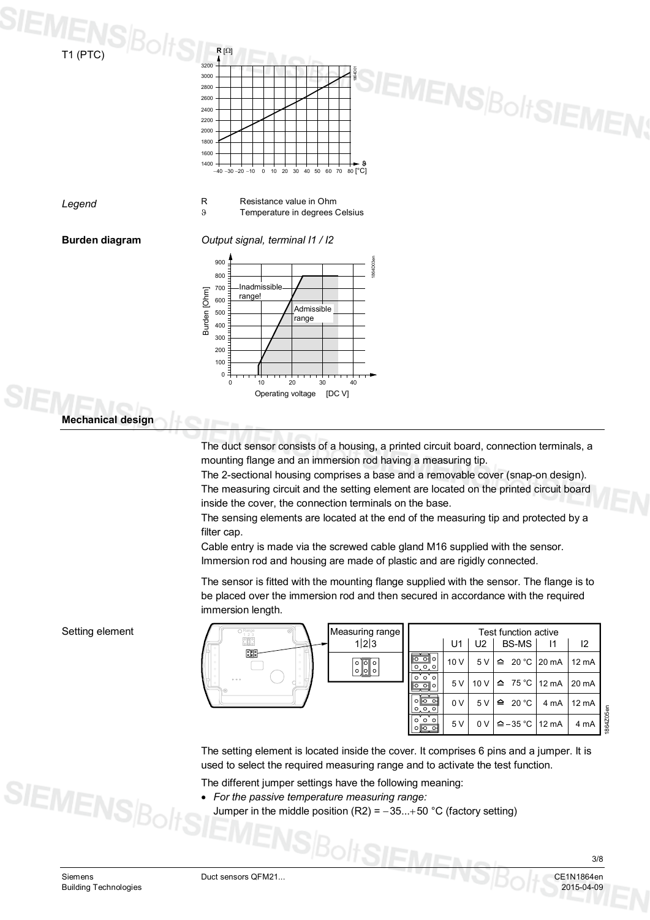



*Legend*

R Resistance value in Ohm<br>8 Temperature in degrees ( Temperature in degrees Celsius

**Burden diagram**

*Output signal, terminal I1 / I2*



#### **Mechanical design**

The duct sensor consists of a housing, a printed circuit board, connection terminals, a mounting flange and an immersion rod having a measuring tip.

The 2-sectional housing comprises a base and a removable cover (snap-on design). The measuring circuit and the setting element are located on the printed circuit board inside the cover, the connection terminals on the base.

The sensing elements are located at the end of the measuring tip and protected by a filter cap.

Cable entry is made via the screwed cable gland M16 supplied with the sensor. Immersion rod and housing are made of plastic and are rigidly connected.

The sensor is fitted with the mounting flange supplied with the sensor. The flange is to be placed over the immersion rod and then secured in accordance with the required immersion length.

| O Range<br><u>ana</u> | Measuring range                                                               |                |                | Test function active        |                                |                 |
|-----------------------|-------------------------------------------------------------------------------|----------------|----------------|-----------------------------|--------------------------------|-----------------|
|                       | 1 2 3                                                                         | U1             | U <sub>2</sub> | <b>BS-MS</b>                |                                | 12              |
| $\frac{1}{2}$         | $\circ$ $\circ$<br>$\circ$<br>o∥ō∥o<br>$\circ$<br>$\circ$<br>$\circ$<br>0 0 0 | 10 V           | 5 V            |                             | $\hat{=}$ 20 °C 20 mA          | $12 \text{ mA}$ |
| 000                   | $\circ$<br>$\circ$<br>$\circ$<br>$\circ$ $\circ$<br>Ō                         | 5V             |                |                             | 10 V $\triangle$ 75 °C   12 mA | 20 mA           |
|                       | $0$ $0$ $0$<br>0.0.0                                                          | 0 <sub>V</sub> | 5V             | $\triangle$ 20 °C           | 4 mA                           | 12 mA           |
|                       | 000<br>$0$ $0$ $0$                                                            | 5V             | 0V             | $\triangle$ – 35 °C   12 mA |                                | 4 mA            |

The setting element is located inside the cover. It comprises 6 pins and a jumper. It is used to select the required measuring range and to activate the test function.

**SIEME** 

The different jumper settings have the following meaning:

- · *For the passive temperature measuring range:*
	- Jumper in the middle position (R2) =  $-35...+50$  °C (factory setting)

Setting element

**SIEMENS**B

1864Z05en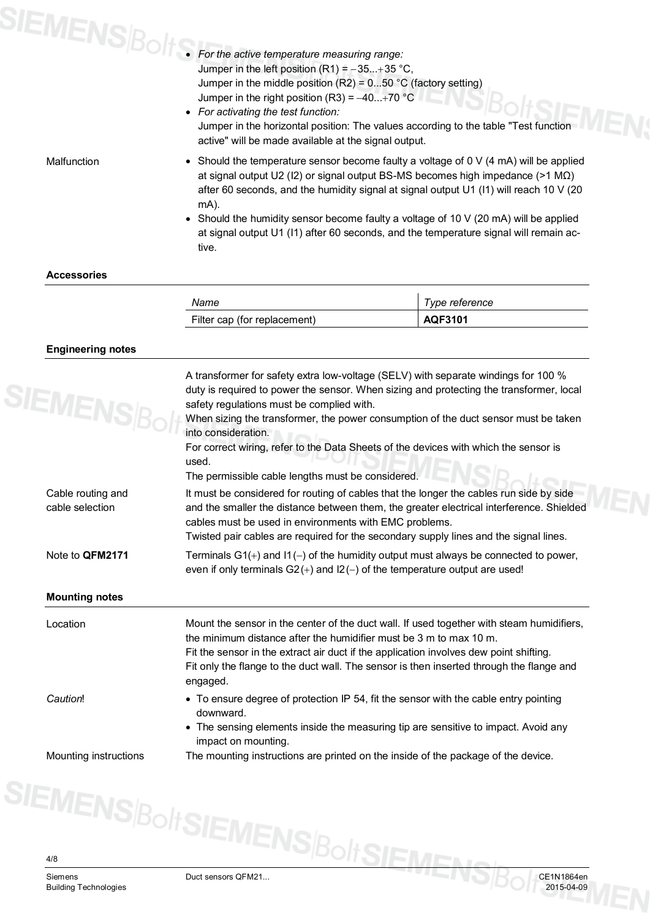|             | For the active temperature measuring range:<br>For the active temperature measuring range:<br>An left nosition (R1) = -35+35 °<br>Jumper in the left position $(R1) = -35+35$ °C,<br>Jumper in the middle position $(R2) = 050$ °C (factory setting)<br>Jumper in the right position (R3) = $-40+70$ °C<br>• For activating the test function:<br>Jumper in the horizontal position: The values according to the table "Test function"<br>active" will be made available at the signal output. |
|-------------|------------------------------------------------------------------------------------------------------------------------------------------------------------------------------------------------------------------------------------------------------------------------------------------------------------------------------------------------------------------------------------------------------------------------------------------------------------------------------------------------|
| Malfunction | • Should the temperature sensor become faulty a voltage of $0 \vee (4 \text{ mA})$ will be applied<br>at signal output U2 (I2) or signal output BS-MS becomes high impedance ( $>1$ M $\Omega$ )<br>after 60 seconds, and the humidity signal at signal output U1 (I1) will reach 10 V (20<br>mA).<br>• Should the humidity sensor become faulty a voltage of 10 V (20 mA) will be applied<br>at signal output U1 (I1) after 60 seconds, and the temperature signal will remain ac-<br>tive.   |

| Name                         | Type reference |
|------------------------------|----------------|
| Filter cap (for replacement) | AQF3101        |
|                              |                |

#### **Engineering notes**

| <b>SIEMENS</b> BG                    | duty is required to power the sensor. When sizing and protecting the transformer, local<br>safety regulations must be complied with.<br>When sizing the transformer, the power consumption of the duct sensor must be taken<br>into consideration.<br>For correct wiring, refer to the Data Sheets of the devices with which the sensor is<br>used.<br>The permissible cable lengths must be considered. |
|--------------------------------------|----------------------------------------------------------------------------------------------------------------------------------------------------------------------------------------------------------------------------------------------------------------------------------------------------------------------------------------------------------------------------------------------------------|
| Cable routing and<br>cable selection | It must be considered for routing of cables that the longer the cables run side by side<br>and the smaller the distance between them, the greater electrical interference. Shielded<br>cables must be used in environments with EMC problems.<br>Twisted pair cables are required for the secondary supply lines and the signal lines.                                                                   |
| Note to QFM2171                      | Terminals $G1(+)$ and $11(-)$ of the humidity output must always be connected to power,                                                                                                                                                                                                                                                                                                                  |
|                                      | even if only terminals $G2(+)$ and $12(-)$ of the temperature output are used!                                                                                                                                                                                                                                                                                                                           |
| <b>Mounting notes</b><br>Location    | Mount the sensor in the center of the duct wall. If used together with steam humidifiers,<br>the minimum distance after the humidifier must be 3 m to max 10 m.<br>Fit the sensor in the extract air duct if the application involves dew point shifting.<br>Fit only the flange to the duct wall. The sensor is then inserted through the flange and<br>engaged.                                        |
| Caution!                             | • To ensure degree of protection IP 54, fit the sensor with the cable entry pointing<br>downward.<br>• The sensing elements inside the measuring tip are sensitive to impact. Avoid any<br>impact on mounting.                                                                                                                                                                                           |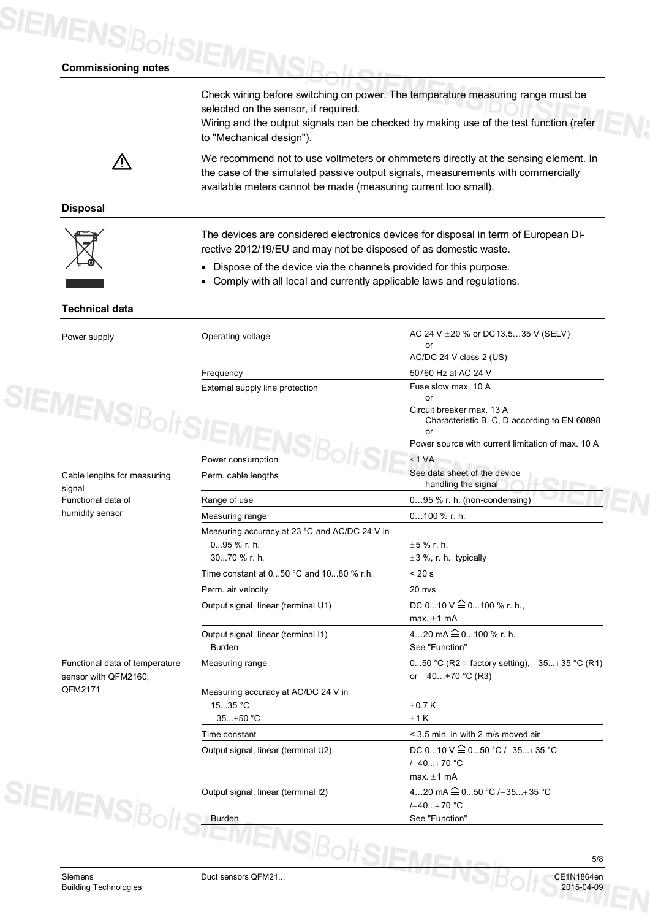### **SIEMENS**BoltS **Commissioning notes**

Check wiring before switching on power. The temperature measuring range must be selected on the sensor, if required. Wiring and the output signals can be checked by making use of the test function (refer

Л

We recommend not to use voltmeters or ohmmeters directly at the sensing element. In the case of the simulated passive output signals, measurements with commercially available meters cannot be made (measuring current too small).

**Disposal**



The devices are considered electronics devices for disposal in term of European Directive 2012/19/EU and may not be disposed of as domestic waste.

Operating voltage  $AC 24 V ± 20 %$  or DC13.5...35 V (SELV)

or

· Dispose of the device via the channels provided for this purpose.

to "Mechanical design").

· Comply with all local and currently applicable laws and regulations.

#### **Technical data**

Power supply

| Cable lengths for measuring |
|-----------------------------|
| signal                      |
| Functional data of          |
| humidity sensor             |

Functional data of temperature sensor with QFM2160, QFM2171

|                                               | AC/DC 24 V class 2 (US)                                 |
|-----------------------------------------------|---------------------------------------------------------|
| Frequency                                     | 50/60 Hz at AC 24 V                                     |
| External supply line protection               | Fuse slow max, 10 A                                     |
|                                               | or                                                      |
|                                               | Circuit breaker max, 13 A                               |
|                                               | Characteristic B, C, D according to EN 60898            |
|                                               | or<br>Power source with current limitation of max. 10 A |
| Power consumption                             | $\leq$ 1 VA                                             |
|                                               | See data sheet of the device                            |
| Perm. cable lengths                           | handling the signal                                     |
| Range of use                                  | $095$ % r. h. (non-condensing)                          |
| Measuring range                               | $0100$ % r. h.                                          |
| Measuring accuracy at 23 °C and AC/DC 24 V in |                                                         |
| 095 % r. h.                                   | $+5$ % r. h.                                            |
| 3070 % r. h.                                  | $\pm 3$ %, r. h. typically                              |
| Time constant at 050 °C and 1080 % r.h.       | < 20 s                                                  |
| Perm. air velocity                            | $20 \text{ m/s}$                                        |
| Output signal, linear (terminal U1)           | DC 010 V $\widehat{=}$ 0100 % r. h.,                    |
|                                               | max. $\pm$ 1 mA                                         |
| Output signal, linear (terminal I1)           | 420 mA $\hat{=}$ 0100 % r. h.                           |
| <b>Burden</b>                                 | See "Function"                                          |
| Measuring range                               | 050 °C (R2 = factory setting), $-35+35$ °C (R1)         |
|                                               | or $-40+70$ °C (R3)                                     |
| Measuring accuracy at AC/DC 24 V in           |                                                         |
| 1535 °C                                       | $\pm$ 0.7 K                                             |
| $-35+50$ °C                                   | ±1K                                                     |
| Time constant                                 | < 3.5 min. in with 2 m/s moved air                      |
| Output signal, linear (terminal U2)           | DC 010 V $\cong$ 050 °C /-35+35 °C                      |
|                                               | $(-40+70$ °C                                            |
|                                               | max. $\pm$ 1 mA                                         |
| Output signal, linear (terminal I2)           | 420 mA $\widehat{=}$ 050 °C /-35+35 °C                  |
|                                               | $(-40+70$ °C                                            |
| <b>Burden</b>                                 | See "Function"                                          |

Siemens Duct sensors QFM21... CE1N1864en

5/8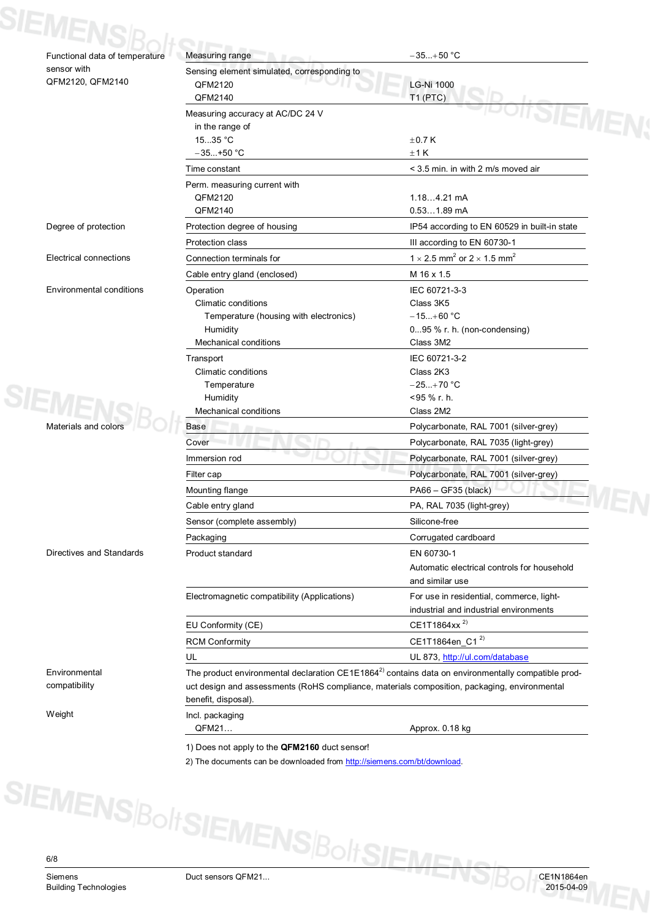| Functional data of temperature  | Measuring range<br>×                                                                                                | $-35+50 °C$                                                                                                    |
|---------------------------------|---------------------------------------------------------------------------------------------------------------------|----------------------------------------------------------------------------------------------------------------|
| sensor with                     | Sensing element simulated, corresponding to                                                                         |                                                                                                                |
| QFM2120, QFM2140                | QFM2120                                                                                                             | LG-Ni 1000                                                                                                     |
|                                 | QFM2140                                                                                                             | T1 (PTC)                                                                                                       |
|                                 | Measuring accuracy at AC/DC 24 V                                                                                    | <b>SIEMF</b>                                                                                                   |
|                                 | in the range of                                                                                                     |                                                                                                                |
|                                 | 1535 °C                                                                                                             | $\pm$ 0.7 K                                                                                                    |
|                                 | $-35+50$ °C                                                                                                         | ±1K                                                                                                            |
|                                 | Time constant                                                                                                       | < 3.5 min. in with 2 m/s moved air                                                                             |
|                                 | Perm. measuring current with                                                                                        |                                                                                                                |
|                                 | QFM2120                                                                                                             | $1.184.21$ mA                                                                                                  |
|                                 | QFM2140                                                                                                             | $0.531.89$ mA                                                                                                  |
| Degree of protection            | Protection degree of housing                                                                                        | IP54 according to EN 60529 in built-in state                                                                   |
|                                 | Protection class                                                                                                    | III according to EN 60730-1                                                                                    |
| Electrical connections          | Connection terminals for                                                                                            | 1 $\times$ 2.5 mm <sup>2</sup> or 2 $\times$ 1.5 mm <sup>2</sup>                                               |
|                                 | Cable entry gland (enclosed)                                                                                        | M 16 x 1.5                                                                                                     |
|                                 |                                                                                                                     |                                                                                                                |
| <b>Environmental conditions</b> | Operation                                                                                                           | IEC 60721-3-3                                                                                                  |
|                                 | Climatic conditions<br>Temperature (housing with electronics)                                                       | Class 3K5<br>$-15+60 °C$                                                                                       |
|                                 | Humidity                                                                                                            | $095$ % r. h. (non-condensing)                                                                                 |
|                                 | <b>Mechanical conditions</b>                                                                                        | Class 3M2                                                                                                      |
|                                 |                                                                                                                     |                                                                                                                |
|                                 | Transport<br>Climatic conditions                                                                                    | IEC 60721-3-2<br>Class 2K3                                                                                     |
|                                 |                                                                                                                     | $-25+70$ °C                                                                                                    |
|                                 | Temperature<br>Humidity                                                                                             | <95 % r. h.                                                                                                    |
|                                 | <b>Mechanical conditions</b>                                                                                        | Class 2M2                                                                                                      |
| Materials and colors            | Base                                                                                                                | Polycarbonate, RAL 7001 (silver-grey)                                                                          |
|                                 |                                                                                                                     |                                                                                                                |
|                                 | Cover                                                                                                               | Polycarbonate, RAL 7035 (light-grey)                                                                           |
|                                 | Immersion rod                                                                                                       | Polycarbonate, RAL 7001 (silver-grey)                                                                          |
|                                 | Filter cap                                                                                                          | Polycarbonate, RAL 7001 (silver-grey)                                                                          |
|                                 | Mounting flange                                                                                                     | PA66 - GF35 (black)                                                                                            |
|                                 | Cable entry gland                                                                                                   | PA, RAL 7035 (light-grey)                                                                                      |
|                                 | Sensor (complete assembly)                                                                                          | Silicone-free                                                                                                  |
|                                 | Packaging                                                                                                           | Corrugated cardboard                                                                                           |
| Directives and Standards        | Product standard                                                                                                    | EN 60730-1                                                                                                     |
|                                 |                                                                                                                     | Automatic electrical controls for household                                                                    |
|                                 |                                                                                                                     | and similar use                                                                                                |
|                                 | Electromagnetic compatibility (Applications)                                                                        | For use in residential, commerce, light-                                                                       |
|                                 |                                                                                                                     | industrial and industrial environments                                                                         |
|                                 | EU Conformity (CE)                                                                                                  | CE1T1864xx <sup>2)</sup>                                                                                       |
|                                 | <b>RCM Conformity</b>                                                                                               | CE1T1864en_C1 <sup>2)</sup>                                                                                    |
|                                 |                                                                                                                     |                                                                                                                |
|                                 | UL.                                                                                                                 | UL 873, http://ul.com/database                                                                                 |
| Environmental                   |                                                                                                                     | The product environmental declaration CE1E1864 <sup>2)</sup> contains data on environmentally compatible prod- |
| compatibility                   | uct design and assessments (RoHS compliance, materials composition, packaging, environmental<br>benefit, disposal). |                                                                                                                |
| Weight                          | Incl. packaging                                                                                                     |                                                                                                                |
|                                 | QFM21                                                                                                               | Approx. 0.18 kg                                                                                                |

2) The documents can be downloaded from [http://siemens.com/bt/download.](http://siemens.com/bt/download)

S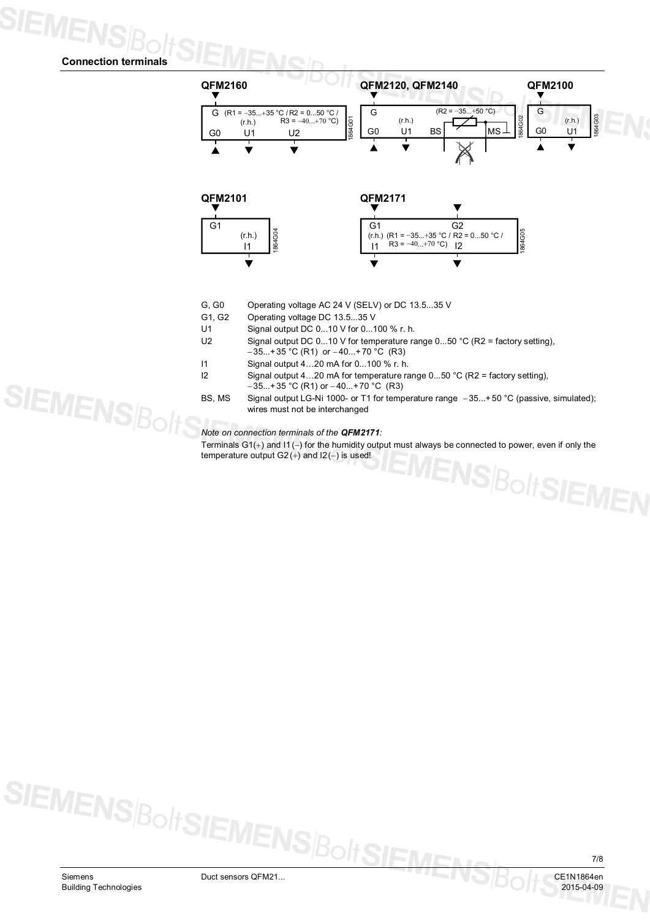#### **Connection terminals**

**SIEMENSBo** 



- G, G0 Operating voltage AC 24 V (SELV) or DC 13.5...35 V
- G1, G2 Operating voltage DC 13.5...35 V
- U1 Signal output DC 0...10 V for 0...100 % r. h.
- U2 Signal output DC 0...10 V for temperature range 0...50 °C (R2 = factory setting),  $-35...+35$  °C (R1) or  $-40...+70$  °C (R3)
- I1 Signal output 4…20 mA for 0...100 % r. h.
- I2 Signal output 4…20 mA for temperature range 0...50 °C (R2 = factory setting),  $-35...+35$  °C (R1) or  $-40...+70$  °C (R3)
- BS, MS Signal output LG-Ni 1000- or T1 for temperature range -35...+ 50 °C (passive, simulated); wires must not be interchanged

*Note on connection terminals of the QFM2171:*

Terminals G1(+) and I1(-) for the humidity output must always be connected to power, even if only the temperature output  $G2 (+)$  and  $12(-)$  is used! **NSBoltSIEMEN**